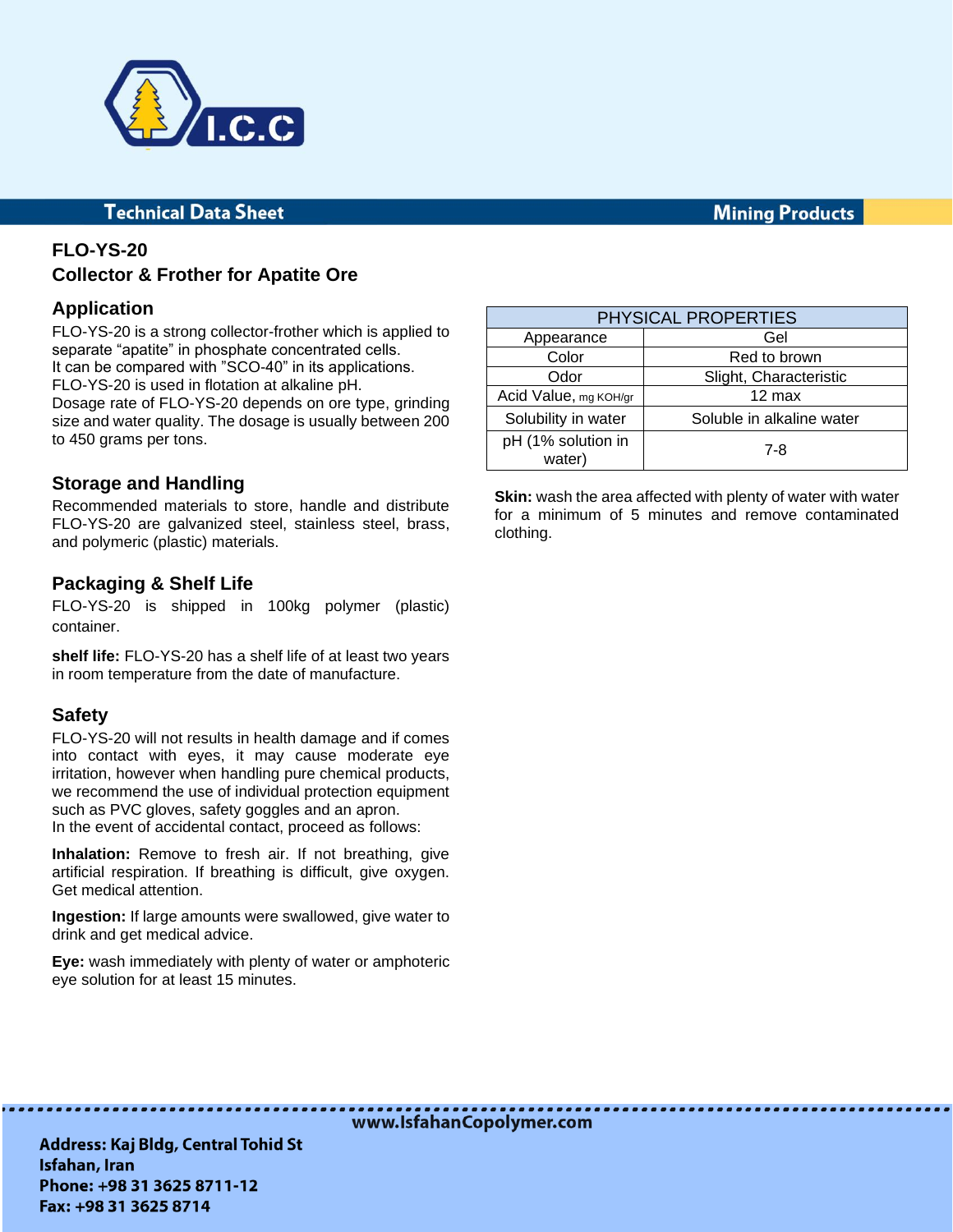

#### **Technical Data Sheet**

#### **Mining Products**

### **FLO-YS-20 Collector & Frother for Apatite Ore**

#### **Application**

FLO-YS-20 is a strong collector-frother which is applied to separate "apatite" in phosphate concentrated cells. It can be compared with "SCO-40" in its applications. FLO-YS-20 is used in flotation at alkaline pH. Dosage rate of FLO-YS-20 depends on ore type, grinding

size and water quality. The dosage is usually between 200 to 450 grams per tons.

#### **Storage and Handling**

Recommended materials to store, handle and distribute FLO-YS-20 are galvanized steel, stainless steel, brass, and polymeric (plastic) materials.

#### **Packaging & Shelf Life**

FLO-YS-20 is shipped in 100kg polymer (plastic) container.

**shelf life:** FLO-YS-20 has a shelf life of at least two years in room temperature from the date of manufacture.

#### **Safety**

FLO-YS-20 will not results in health damage and if comes into contact with eyes, it may cause moderate eye irritation, however when handling pure chemical products, we recommend the use of individual protection equipment such as PVC gloves, safety goggles and an apron. In the event of accidental contact, proceed as follows:

**Inhalation:** Remove to fresh air. If not breathing, give artificial respiration. If breathing is difficult, give oxygen. Get medical attention.

**Ingestion:** If large amounts were swallowed, give water to drink and get medical advice.

**Eye:** wash immediately with plenty of water or amphoteric eye solution for at least 15 minutes.

| PHYSICAL PROPERTIES          |                           |
|------------------------------|---------------------------|
| Appearance                   | Gel                       |
| Color                        | Red to brown              |
| Odor                         | Slight, Characteristic    |
| Acid Value, mg KOH/gr        | $12 \text{ max}$          |
| Solubility in water          | Soluble in alkaline water |
| pH (1% solution in<br>water) | $7 - 8$                   |

**Skin:** wash the area affected with plenty of water with water for a minimum of 5 minutes and remove contaminated clothing.

www.IsfahanCopolymer.com

**Address: Kaj Bldg, Central Tohid St** Isfahan, Iran Phone: +98 31 3625 8711-12 Fax: +98 31 3625 8714